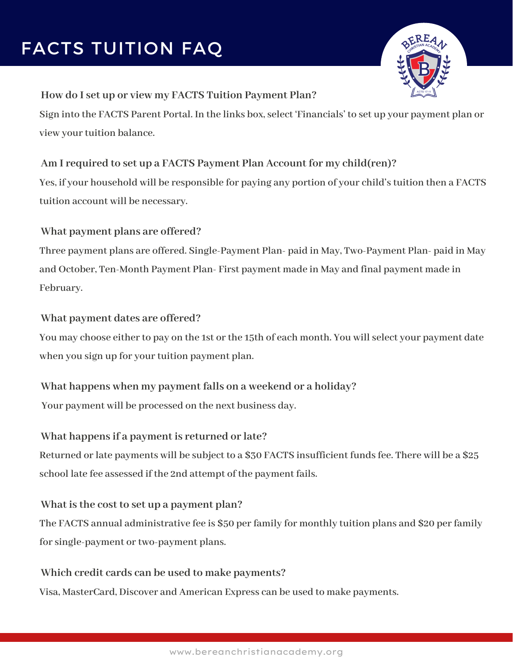# FACTS TUITION FAQ



#### **How do I set up or view my FACTS Tuition Payment Plan?**

Sign into the FACTS Parent Portal. In the links box, select 'Financials' to set up your payment plan or  $view$  *your tuition* balance.

## **Am I required to set up a FACTS Payment Plan Account for my child(ren)?**

**Yes, if your household will be responsible for paying any portion of your child'stuition then a FACTS tuition account will be necessary.**

## **What payment plans are offered?**

**Three payment plans are offered. Single-Payment Plan- paid in May, Two-Payment Plan- paid in May and October, Ten-Month Payment Plan- First payment made in May and final payment made in February.**

#### **What payment dates are offered?**

**You may choose eitherto pay on the 1st orthe 15th of each month. You willselect your payment date when you sign up for yourtuition payment plan.**

## **What happens when my payment falls on a weekend or a holiday?**

**Your payment will be processed on the next business day.**

#### **What happens if a payment is returned or late?**

**Returned orlate payments will be subject to a \$30 FACTS insufficient fundsfee. There will be a \$25 school late fee assessed if the 2nd attempt of the payment fails.**

#### **What is the cost to set up a payment plan?**

**The FACTS annual administrative fee is \$50 perfamily for monthly tuition plans and \$20 perfamily forsingle-payment ortwo-payment plans.**

#### **Which credit cards can be used to make payments?**

**Visa, MasterCard, Discover and American Express can be used to make payments.**